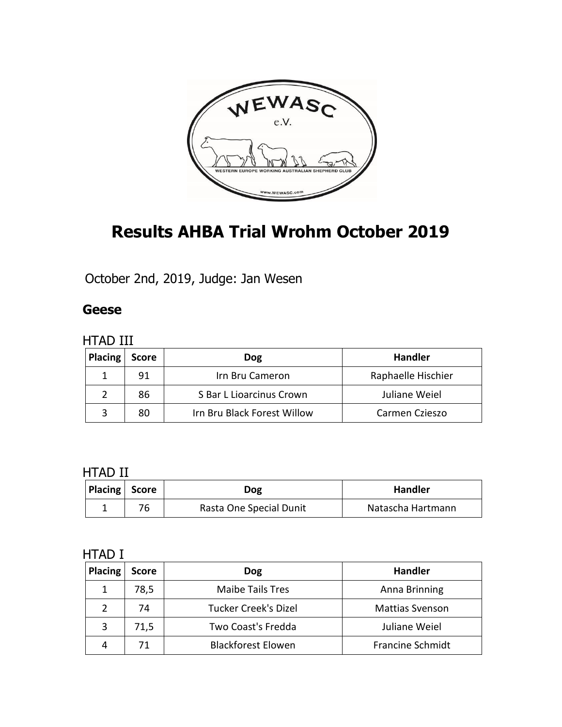

# **Results AHBA Trial Wrohm October 2019**

October 2nd, 2019, Judge: Jan Wesen

#### **Geese**

#### HTAD III

| <b>Placing</b> | <b>Score</b> | <b>Dog</b>                  | <b>Handler</b>     |  |
|----------------|--------------|-----------------------------|--------------------|--|
|                | 91           | Irn Bru Cameron             | Raphaelle Hischier |  |
|                | 86           | S Bar L Lioarcinus Crown    | Juliane Weiel      |  |
|                | 80           | Irn Bru Black Forest Willow | Carmen Czieszo     |  |

#### HTAD II

| Placing Score | Dog                     | <b>Handler</b>    |
|---------------|-------------------------|-------------------|
|               | Rasta One Special Dunit | Natascha Hartmann |

| <b>Placing</b> | <b>Score</b> | <b>Dog</b>                  | <b>Handler</b>          |
|----------------|--------------|-----------------------------|-------------------------|
|                | 78,5         | <b>Maibe Tails Tres</b>     | Anna Brinning           |
|                | 74           | <b>Tucker Creek's Dizel</b> | <b>Mattias Svenson</b>  |
| 3              | 71,5         | Two Coast's Fredda          | Juliane Weiel           |
|                | 71           | <b>Blackforest Elowen</b>   | <b>Francine Schmidt</b> |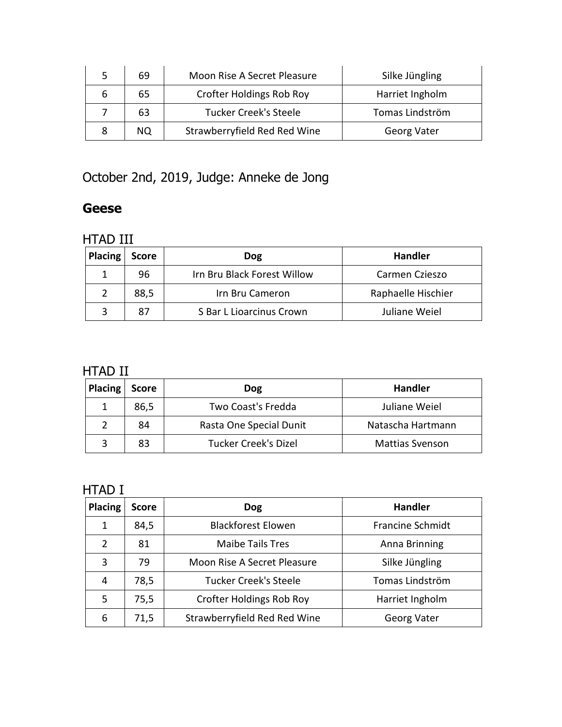| 5 | 69 | Moon Rise A Secret Pleasure     | Silke Jüngling     |
|---|----|---------------------------------|--------------------|
|   | 65 | <b>Crofter Holdings Rob Roy</b> | Harriet Ingholm    |
|   | 63 | <b>Tucker Creek's Steele</b>    | Tomas Lindström    |
|   | ΝQ | Strawberryfield Red Red Wine    | <b>Georg Vater</b> |

October 2nd, 2019, Judge: Anneke de Jong

#### **Geese**

#### HTAD III

| Placing | <b>Score</b> | Dog                         | <b>Handler</b>     |
|---------|--------------|-----------------------------|--------------------|
|         | 96           | Irn Bru Black Forest Willow | Carmen Czieszo     |
|         | 88,5         | Irn Bru Cameron             | Raphaelle Hischier |
|         |              | S Bar L Lioarcinus Crown    | Juliane Weiel      |

### HTAD II

| <b>Placing</b> | <b>Score</b> | Dog                         | <b>Handler</b>         |
|----------------|--------------|-----------------------------|------------------------|
|                | 86,5         | Two Coast's Fredda          | Juliane Weiel          |
|                | 84           | Rasta One Special Dunit     | Natascha Hartmann      |
|                |              | <b>Tucker Creek's Dizel</b> | <b>Mattias Svenson</b> |

| <b>Placing</b> | <b>Score</b> | <b>Dog</b>                      | <b>Handler</b>          |
|----------------|--------------|---------------------------------|-------------------------|
| 1              | 84,5         | <b>Blackforest Elowen</b>       | <b>Francine Schmidt</b> |
| 2              | 81           | <b>Maibe Tails Tres</b>         | Anna Brinning           |
| 3              | 79           | Moon Rise A Secret Pleasure     | Silke Jüngling          |
| 4              | 78,5         | <b>Tucker Creek's Steele</b>    | Tomas Lindström         |
| 5              | 75,5         | <b>Crofter Holdings Rob Roy</b> | Harriet Ingholm         |
| 6              | 71,5         | Strawberryfield Red Red Wine    | <b>Georg Vater</b>      |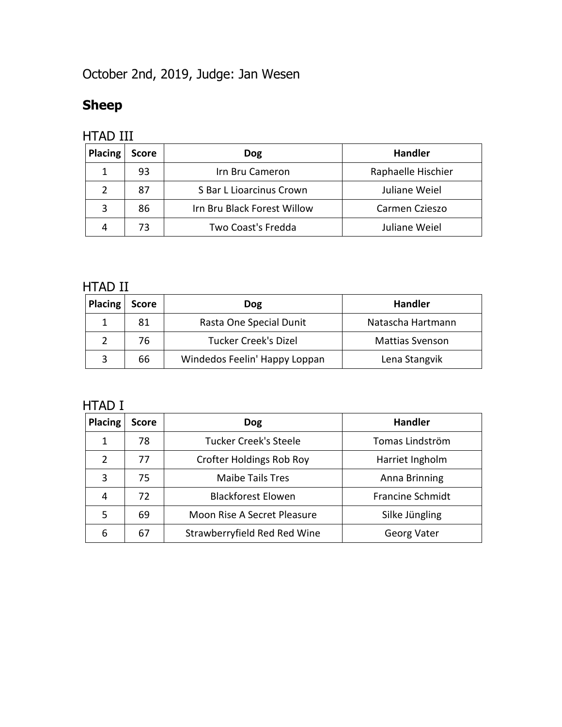# October 2nd, 2019, Judge: Jan Wesen

### **Sheep**

#### HTAD III

| <b>Placing</b> | <b>Score</b> | <b>Dog</b>                  | <b>Handler</b>     |
|----------------|--------------|-----------------------------|--------------------|
|                | 93           | Irn Bru Cameron             | Raphaelle Hischier |
|                | 87           | S Bar L Lioarcinus Crown    | Juliane Weiel      |
|                | 86           | Irn Bru Black Forest Willow | Carmen Czieszo     |
|                | 73           | Two Coast's Fredda          | Juliane Weiel      |

#### HTAD II

| <b>Placing</b> | <b>Score</b> | <b>Dog</b>                    | <b>Handler</b>         |
|----------------|--------------|-------------------------------|------------------------|
|                | 81           | Rasta One Special Dunit       | Natascha Hartmann      |
|                | 76           | <b>Tucker Creek's Dizel</b>   | <b>Mattias Svenson</b> |
|                | 66           | Windedos Feelin' Happy Loppan | Lena Stangvik          |

| Placing | <b>Score</b> | <b>Dog</b>                      | <b>Handler</b>          |
|---------|--------------|---------------------------------|-------------------------|
| 1       | 78           | <b>Tucker Creek's Steele</b>    | Tomas Lindström         |
| 2       | 77           | <b>Crofter Holdings Rob Roy</b> | Harriet Ingholm         |
| 3       | 75           | <b>Maibe Tails Tres</b>         | Anna Brinning           |
| 4       | 72           | <b>Blackforest Elowen</b>       | <b>Francine Schmidt</b> |
| 5       | 69           | Moon Rise A Secret Pleasure     | Silke Jüngling          |
| 6       | 67           | Strawberryfield Red Red Wine    | <b>Georg Vater</b>      |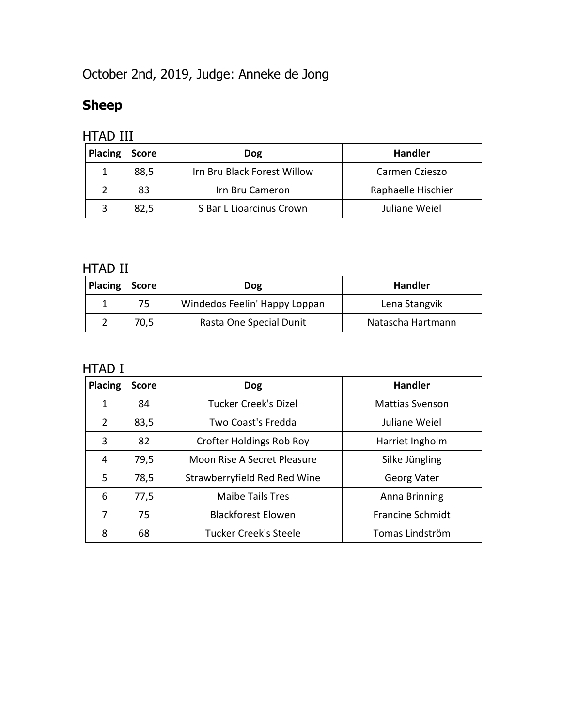October 2nd, 2019, Judge: Anneke de Jong

### **Sheep**

#### HTAD III

| Placing | <b>Score</b> | <b>Dog</b>                  | <b>Handler</b>     |
|---------|--------------|-----------------------------|--------------------|
|         | 88,5         | Irn Bru Black Forest Willow | Carmen Czieszo     |
|         | 83           | Irn Bru Cameron             | Raphaelle Hischier |
|         | 82,5         | S Bar L Lioarcinus Crown    | Juliane Weiel      |

#### HTAD II

| Placing | <b>Score</b> | Dog                           | <b>Handler</b>    |
|---------|--------------|-------------------------------|-------------------|
|         | 75           | Windedos Feelin' Happy Loppan | Lena Stangvik     |
|         | 70,5         | Rasta One Special Dunit       | Natascha Hartmann |

| <b>Placing</b> | <b>Score</b> | <b>Dog</b>                      | <b>Handler</b>          |
|----------------|--------------|---------------------------------|-------------------------|
| 1              | 84           | <b>Tucker Creek's Dizel</b>     | <b>Mattias Svenson</b>  |
| $\overline{2}$ | 83,5         | Two Coast's Fredda              | Juliane Weiel           |
| 3              | 82           | <b>Crofter Holdings Rob Roy</b> | Harriet Ingholm         |
| 4              | 79,5         | Moon Rise A Secret Pleasure     | Silke Jüngling          |
| 5              | 78,5         | Strawberryfield Red Red Wine    | Georg Vater             |
| 6              | 77,5         | <b>Maibe Tails Tres</b>         | Anna Brinning           |
| 7              | 75           | <b>Blackforest Elowen</b>       | <b>Francine Schmidt</b> |
| 8              | 68           | <b>Tucker Creek's Steele</b>    | Tomas Lindström         |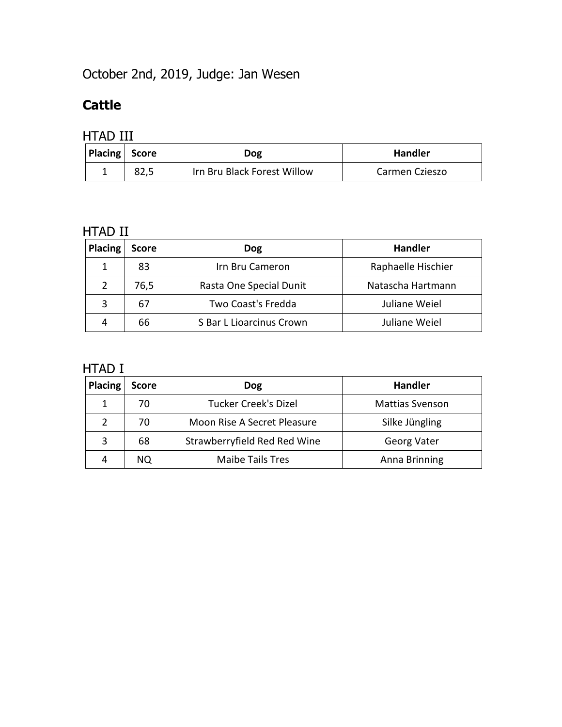# October 2nd, 2019, Judge: Jan Wesen

### **Cattle**

### HTAD III

| Placing Score | Dog                         | <b>Handler</b> |
|---------------|-----------------------------|----------------|
|               | Irn Bru Black Forest Willow | Carmen Czieszo |

#### HTAD II

| <b>Placing</b> | <b>Score</b> | <b>Dog</b>               | <b>Handler</b>     |
|----------------|--------------|--------------------------|--------------------|
|                | 83           | Irn Bru Cameron          | Raphaelle Hischier |
|                | 76,5         | Rasta One Special Dunit  | Natascha Hartmann  |
|                | 67           | Two Coast's Fredda       | Juliane Weiel      |
|                | 66           | S Bar L Lioarcinus Crown | Juliane Weiel      |

| <b>Placing</b> | <b>Score</b> | Dog                          | <b>Handler</b>         |
|----------------|--------------|------------------------------|------------------------|
|                | 70           | <b>Tucker Creek's Dizel</b>  | <b>Mattias Svenson</b> |
|                | 70           | Moon Rise A Secret Pleasure  | Silke Jüngling         |
|                | 68           | Strawberryfield Red Red Wine | Georg Vater            |
|                | NO.          | <b>Maibe Tails Tres</b>      | Anna Brinning          |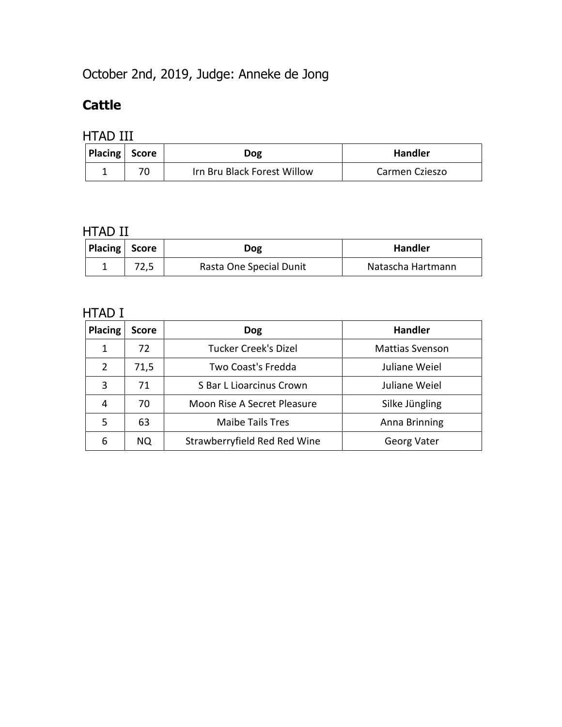# October 2nd, 2019, Judge: Anneke de Jong

#### **Cattle**

#### HTAD III

| Placing Score | Dog                         | <b>Handler</b> |
|---------------|-----------------------------|----------------|
|               | Irn Bru Black Forest Willow | Carmen Czieszo |

#### HTAD II

| Placing Score | <b>Dog</b>              | <b>Handler</b>    |
|---------------|-------------------------|-------------------|
|               | Rasta One Special Dunit | Natascha Hartmann |

| <b>Placing</b> | <b>Score</b> | <b>Dog</b>                   | <b>Handler</b>         |
|----------------|--------------|------------------------------|------------------------|
| 1              | 72           | <b>Tucker Creek's Dizel</b>  | <b>Mattias Svenson</b> |
| 2              | 71,5         | Two Coast's Fredda           | Juliane Weiel          |
| 3              | 71           | S Bar L Lioarcinus Crown     | Juliane Weiel          |
| 4              | 70           | Moon Rise A Secret Pleasure  | Silke Jüngling         |
| .5             | 63           | <b>Maibe Tails Tres</b>      | Anna Brinning          |
| 6              | NQ.          | Strawberryfield Red Red Wine | Georg Vater            |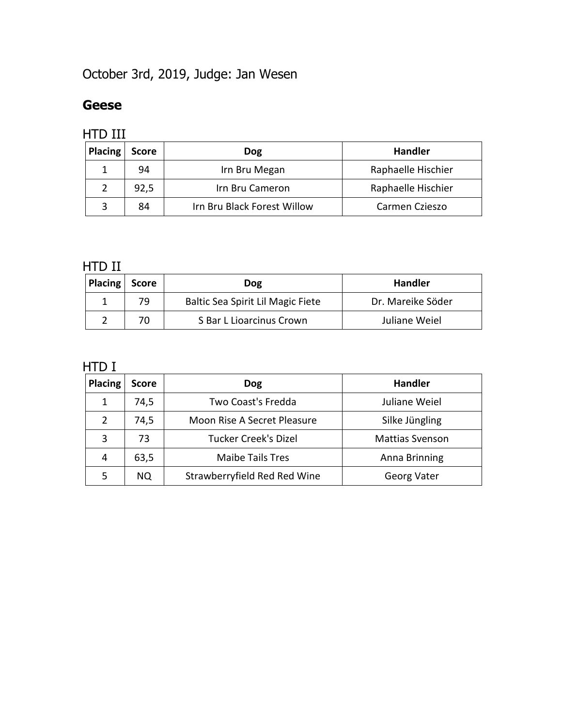# October 3rd, 2019, Judge: Jan Wesen

#### **Geese**

#### HTD III

| <b>Placing</b> | <b>Score</b> | <b>Dog</b>                  | <b>Handler</b>     |
|----------------|--------------|-----------------------------|--------------------|
|                | 94           | Irn Bru Megan               | Raphaelle Hischier |
|                | 92,5         | Irn Bru Cameron             | Raphaelle Hischier |
|                | 84           | Irn Bru Black Forest Willow | Carmen Czieszo     |

### HTD II

| Placing Score |    | <b>Dog</b>                        | <b>Handler</b>    |
|---------------|----|-----------------------------------|-------------------|
|               | 79 | Baltic Sea Spirit Lil Magic Fiete | Dr. Mareike Söder |
|               |    | S Bar L Lioarcinus Crown          | Juliane Weiel     |

| <b>Placing</b> | <b>Score</b> | <b>Dog</b>                   | <b>Handler</b>         |
|----------------|--------------|------------------------------|------------------------|
| 1              | 74,5         | Two Coast's Fredda           | Juliane Weiel          |
|                | 74,5         | Moon Rise A Secret Pleasure  | Silke Jüngling         |
| 3              | 73           | <b>Tucker Creek's Dizel</b>  | <b>Mattias Svenson</b> |
| 4              | 63,5         | <b>Maibe Tails Tres</b>      | Anna Brinning          |
|                | NO.          | Strawberryfield Red Red Wine | <b>Georg Vater</b>     |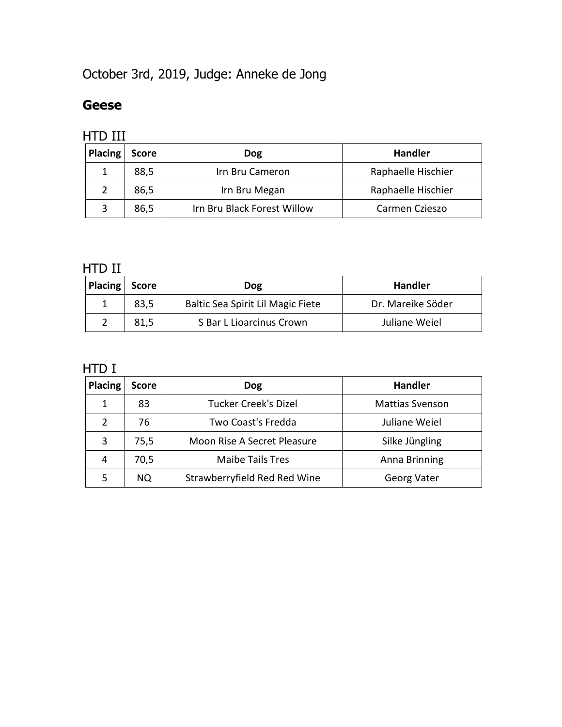# October 3rd, 2019, Judge: Anneke de Jong

#### **Geese**

#### HTD III

| Placing | <b>Score</b> | <b>Dog</b>                  | <b>Handler</b>     |
|---------|--------------|-----------------------------|--------------------|
|         | 88,5         | Irn Bru Cameron             | Raphaelle Hischier |
|         | 86,5         | Irn Bru Megan               | Raphaelle Hischier |
|         | 86,5         | Irn Bru Black Forest Willow | Carmen Czieszo     |

### HTD II

| Placing Score |      | <b>Dog</b>                        | <b>Handler</b>    |
|---------------|------|-----------------------------------|-------------------|
|               | 83,5 | Baltic Sea Spirit Lil Magic Fiete | Dr. Mareike Söder |
|               | 81,5 | S Bar L Lioarcinus Crown          | Juliane Weiel     |

| Placing | <b>Score</b> | <b>Dog</b>                   | <b>Handler</b>         |
|---------|--------------|------------------------------|------------------------|
|         | 83           | <b>Tucker Creek's Dizel</b>  | <b>Mattias Svenson</b> |
|         | 76           | Two Coast's Fredda           | Juliane Weiel          |
| 3       | 75,5         | Moon Rise A Secret Pleasure  | Silke Jüngling         |
| 4       | 70,5         | <b>Maibe Tails Tres</b>      | Anna Brinning          |
|         | NQ.          | Strawberryfield Red Red Wine | <b>Georg Vater</b>     |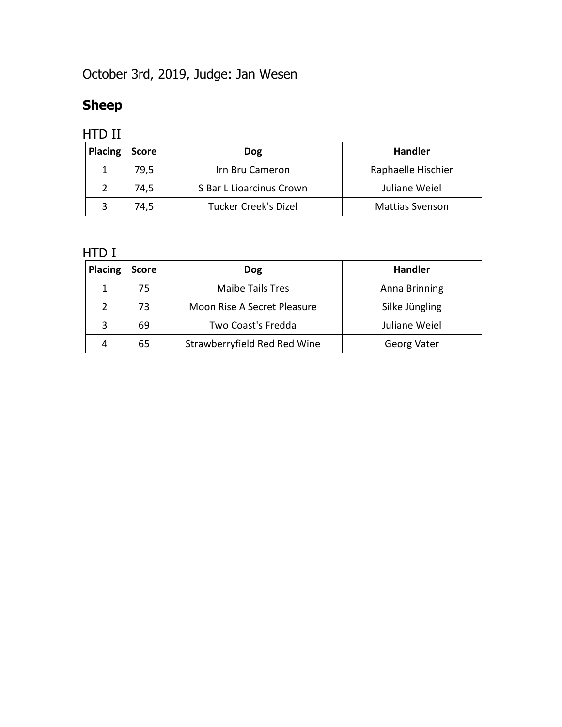# October 3rd, 2019, Judge: Jan Wesen

# **Sheep**

### HTD II

| <b>Placing</b> | <b>Score</b> | <b>Dog</b>                  | <b>Handler</b>         |
|----------------|--------------|-----------------------------|------------------------|
|                | 79,5         | Irn Bru Cameron             | Raphaelle Hischier     |
|                | 74,5         | S Bar L Lioarcinus Crown    | Juliane Weiel          |
|                | 74,5         | <b>Tucker Creek's Dizel</b> | <b>Mattias Svenson</b> |

| <b>Placing</b> | <b>Score</b> | <b>Dog</b>                   | <b>Handler</b>     |
|----------------|--------------|------------------------------|--------------------|
|                | 75           | <b>Maibe Tails Tres</b>      | Anna Brinning      |
|                | 73           | Moon Rise A Secret Pleasure  | Silke Jüngling     |
| 3              | 69           | Two Coast's Fredda           | Juliane Weiel      |
| 4              | 65           | Strawberryfield Red Red Wine | <b>Georg Vater</b> |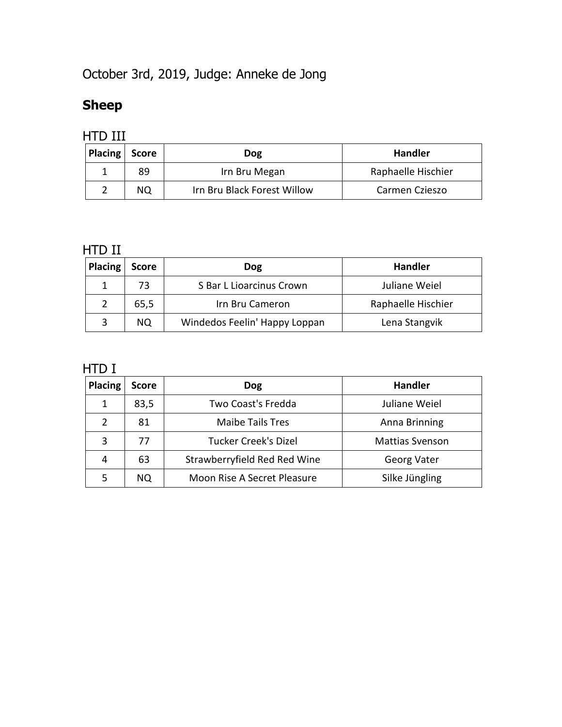# October 3rd, 2019, Judge: Anneke de Jong

# **Sheep**

| Placing | Score | <b>Dog</b>                  | <b>Handler</b>     |
|---------|-------|-----------------------------|--------------------|
|         | 89    | Irn Bru Megan               | Raphaelle Hischier |
|         | ΝQ    | Irn Bru Black Forest Willow | Carmen Czieszo     |

### HTD II

| <b>Placing</b> | <b>Score</b> | Dog                           | <b>Handler</b>     |
|----------------|--------------|-------------------------------|--------------------|
|                | 73           | S Bar L Lioarcinus Crown      | Juliane Weiel      |
|                | 65,5         | Irn Bru Cameron               | Raphaelle Hischier |
|                | NO.          | Windedos Feelin' Happy Loppan | Lena Stangvik      |

| <b>Placing</b> | <b>Score</b> | <b>Dog</b>                   | <b>Handler</b>         |
|----------------|--------------|------------------------------|------------------------|
|                | 83,5         | Two Coast's Fredda           | Juliane Weiel          |
|                | 81           | <b>Maibe Tails Tres</b>      | Anna Brinning          |
| 3              | 77           | <b>Tucker Creek's Dizel</b>  | <b>Mattias Svenson</b> |
| 4              | 63           | Strawberryfield Red Red Wine | Georg Vater            |
|                | NO.          | Moon Rise A Secret Pleasure  | Silke Jüngling         |